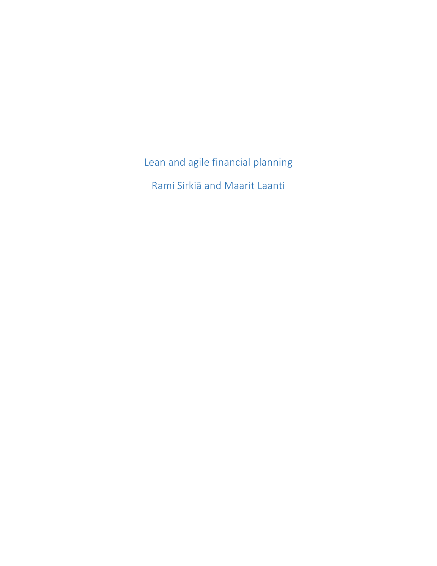Lean and agile financial planning Rami Sirkiä and Maarit Laanti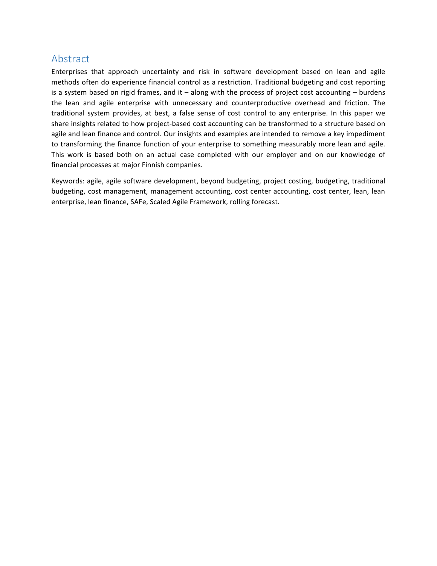### Abstract

Enterprises that approach uncertainty and risk in software development based on lean and agile methods often do experience financial control as a restriction. Traditional budgeting and cost reporting is a system based on rigid frames, and it  $-$  along with the process of project cost accounting  $-$  burdens the lean and agile enterprise with unnecessary and counterproductive overhead and friction. The traditional system provides, at best, a false sense of cost control to any enterprise. In this paper we share insights related to how project-based cost accounting can be transformed to a structure based on agile and lean finance and control. Our insights and examples are intended to remove a key impediment to transforming the finance function of your enterprise to something measurably more lean and agile. This work is based both on an actual case completed with our employer and on our knowledge of financial processes at major Finnish companies.

Keywords: agile, agile software development, beyond budgeting, project costing, budgeting, traditional budgeting, cost management, management accounting, cost center accounting, cost center, lean, lean enterprise, lean finance, SAFe, Scaled Agile Framework, rolling forecast.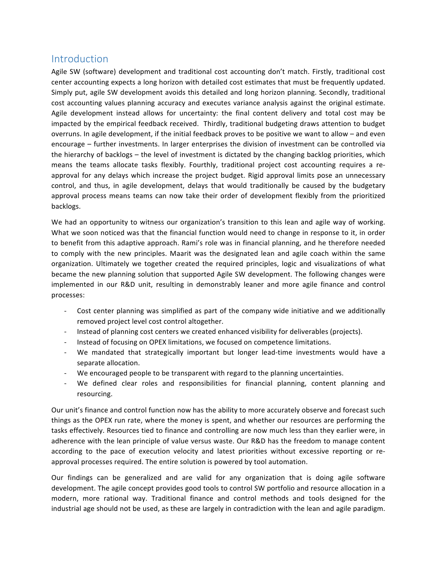### Introduction

Agile SW (software) development and traditional cost accounting don't match. Firstly, traditional cost center accounting expects a long horizon with detailed cost estimates that must be frequently updated. Simply put, agile SW development avoids this detailed and long horizon planning. Secondly, traditional cost accounting values planning accuracy and executes variance analysis against the original estimate. Agile development instead allows for uncertainty: the final content delivery and total cost may be impacted by the empirical feedback received. Thirdly, traditional budgeting draws attention to budget overruns. In agile development, if the initial feedback proves to be positive we want to allow – and even encourage – further investments. In larger enterprises the division of investment can be controlled via the hierarchy of backlogs – the level of investment is dictated by the changing backlog priorities, which means the teams allocate tasks flexibly. Fourthly, traditional project cost accounting requires a reapproval for any delays which increase the project budget. Rigid approval limits pose an unnecessary control, and thus, in agile development, delays that would traditionally be caused by the budgetary approval process means teams can now take their order of development flexibly from the prioritized backlogs.

We had an opportunity to witness our organization's transition to this lean and agile way of working. What we soon noticed was that the financial function would need to change in response to it, in order to benefit from this adaptive approach. Rami's role was in financial planning, and he therefore needed to comply with the new principles. Maarit was the designated lean and agile coach within the same organization. Ultimately we together created the required principles, logic and visualizations of what became the new planning solution that supported Agile SW development. The following changes were implemented in our R&D unit, resulting in demonstrably leaner and more agile finance and control processes:

- Cost center planning was simplified as part of the company wide initiative and we additionally removed project level cost control altogether.
- Instead of planning cost centers we created enhanced visibility for deliverables (projects).
- Instead of focusing on OPEX limitations, we focused on competence limitations.
- We mandated that strategically important but longer lead-time investments would have a separate allocation.
- We encouraged people to be transparent with regard to the planning uncertainties.
- We defined clear roles and responsibilities for financial planning, content planning and resourcing.

Our unit's finance and control function now has the ability to more accurately observe and forecast such things as the OPEX run rate, where the money is spent, and whether our resources are performing the tasks effectively. Resources tied to finance and controlling are now much less than they earlier were, in adherence with the lean principle of value versus waste. Our R&D has the freedom to manage content according to the pace of execution velocity and latest priorities without excessive reporting or reapproval processes required. The entire solution is powered by tool automation.

Our findings can be generalized and are valid for any organization that is doing agile software development. The agile concept provides good tools to control SW portfolio and resource allocation in a modern, more rational way. Traditional finance and control methods and tools designed for the industrial age should not be used, as these are largely in contradiction with the lean and agile paradigm.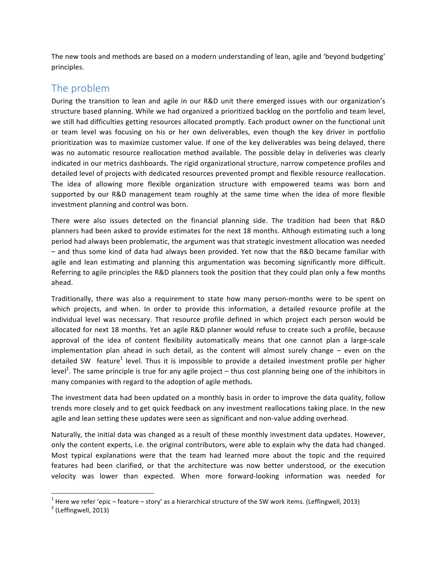The new tools and methods are based on a modern understanding of lean, agile and 'beyond budgeting' principles.

# The problem

During the transition to lean and agile in our R&D unit there emerged issues with our organization's structure based planning. While we had organized a prioritized backlog on the portfolio and team level, we still had difficulties getting resources allocated promptly. Each product owner on the functional unit or team level was focusing on his or her own deliverables, even though the key driver in portfolio prioritization was to maximize customer value. If one of the key deliverables was being delayed, there was no automatic resource reallocation method available. The possible delay in deliveries was clearly indicated in our metrics dashboards. The rigid organizational structure, narrow competence profiles and detailed level of projects with dedicated resources prevented prompt and flexible resource reallocation. The idea of allowing more flexible organization structure with empowered teams was born and supported by our R&D management team roughly at the same time when the idea of more flexible investment planning and control was born.

There were also issues detected on the financial planning side. The tradition had been that R&D planners had been asked to provide estimates for the next 18 months. Although estimating such a long period had always been problematic, the argument was that strategic investment allocation was needed - and thus some kind of data had always been provided. Yet now that the R&D became familiar with agile and lean estimating and planning this argumentation was becoming significantly more difficult. Referring to agile principles the  $R&D$  planners took the position that they could plan only a few months ahead.

Traditionally, there was also a requirement to state how many person-months were to be spent on which projects, and when. In order to provide this information, a detailed resource profile at the individual level was necessary. That resource profile defined in which project each person would be allocated for next 18 months. Yet an agile R&D planner would refuse to create such a profile, because approval of the idea of content flexibility automatically means that one cannot plan a large-scale implementation plan ahead in such detail, as the content will almost surely change  $-$  even on the detailed SW feature<sup>1</sup> level. Thus it is impossible to provide a detailed investment profile per higher level<sup>2</sup>. The same principle is true for any agile project  $-$  thus cost planning being one of the inhibitors in many companies with regard to the adoption of agile methods.

The investment data had been updated on a monthly basis in order to improve the data quality, follow trends more closely and to get quick feedback on any investment reallocations taking place. In the new agile and lean setting these updates were seen as significant and non-value adding overhead.

Naturally, the initial data was changed as a result of these monthly investment data updates. However, only the content experts, i.e. the original contributors, were able to explain why the data had changed. Most typical explanations were that the team had learned more about the topic and the required features had been clarified, or that the architecture was now better understood, or the execution velocity was lower than expected. When more forward-looking information was needed for

<u> 1989 - Johann Stein, markin film yn y breninn y breninn y breninn y breninn y breninn y breninn y breninn y b</u>

 $^{\rm 1}$  Here we refer 'epic – feature – story' as a hierarchical structure of the SW work items. (Leffingwell, 2013)<br><sup>2</sup> (Leffingwell, 2013)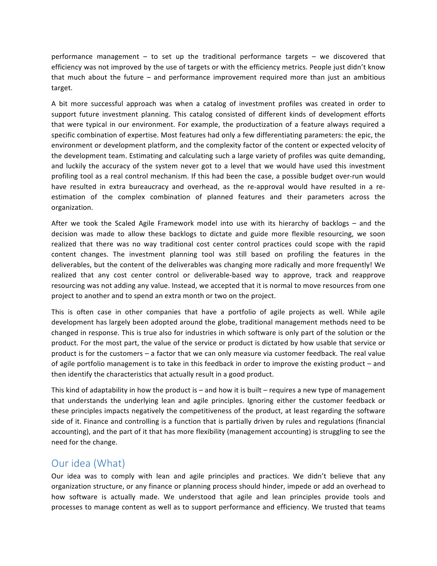performance management  $-$  to set up the traditional performance targets  $-$  we discovered that efficiency was not improved by the use of targets or with the efficiency metrics. People just didn't know that much about the future  $-$  and performance improvement required more than just an ambitious target. 

A bit more successful approach was when a catalog of investment profiles was created in order to support future investment planning. This catalog consisted of different kinds of development efforts that were typical in our environment. For example, the productization of a feature always required a specific combination of expertise. Most features had only a few differentiating parameters: the epic, the environment or development platform, and the complexity factor of the content or expected velocity of the development team. Estimating and calculating such a large variety of profiles was quite demanding, and luckily the accuracy of the system never got to a level that we would have used this investment profiling tool as a real control mechanism. If this had been the case, a possible budget over-run would have resulted in extra bureaucracy and overhead, as the re-approval would have resulted in a reestimation of the complex combination of planned features and their parameters across the organization.

After we took the Scaled Agile Framework model into use with its hierarchy of backlogs  $-$  and the decision was made to allow these backlogs to dictate and guide more flexible resourcing, we soon realized that there was no way traditional cost center control practices could scope with the rapid content changes. The investment planning tool was still based on profiling the features in the deliverables, but the content of the deliverables was changing more radically and more frequently! We realized that any cost center control or deliverable-based way to approve, track and reapprove resourcing was not adding any value. Instead, we accepted that it is normal to move resources from one project to another and to spend an extra month or two on the project.

This is often case in other companies that have a portfolio of agile projects as well. While agile development has largely been adopted around the globe, traditional management methods need to be changed in response. This is true also for industries in which software is only part of the solution or the product. For the most part, the value of the service or product is dictated by how usable that service or product is for the customers – a factor that we can only measure via customer feedback. The real value of agile portfolio management is to take in this feedback in order to improve the existing product – and then identify the characteristics that actually result in a good product.

This kind of adaptability in how the product is  $-$  and how it is built  $-$  requires a new type of management that understands the underlying lean and agile principles. Ignoring either the customer feedback or these principles impacts negatively the competitiveness of the product, at least regarding the software side of it. Finance and controlling is a function that is partially driven by rules and regulations (financial accounting), and the part of it that has more flexibility (management accounting) is struggling to see the need for the change.

### Our idea (What)

Our idea was to comply with lean and agile principles and practices. We didn't believe that any organization structure, or any finance or planning process should hinder, impede or add an overhead to how software is actually made. We understood that agile and lean principles provide tools and processes to manage content as well as to support performance and efficiency. We trusted that teams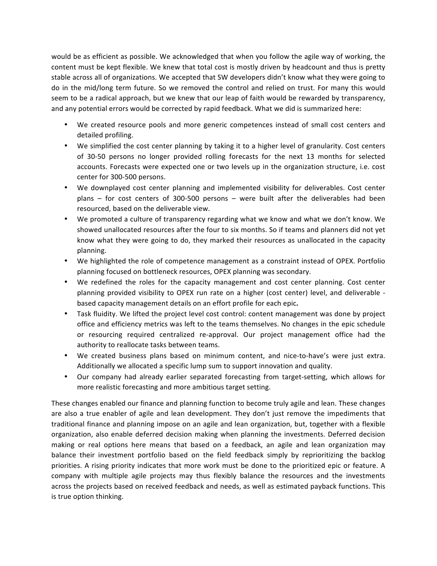would be as efficient as possible. We acknowledged that when you follow the agile way of working, the content must be kept flexible. We knew that total cost is mostly driven by headcount and thus is pretty stable across all of organizations. We accepted that SW developers didn't know what they were going to do in the mid/long term future. So we removed the control and relied on trust. For many this would seem to be a radical approach, but we knew that our leap of faith would be rewarded by transparency, and any potential errors would be corrected by rapid feedback. What we did is summarized here:

- We created resource pools and more generic competences instead of small cost centers and detailed profiling.
- We simplified the cost center planning by taking it to a higher level of granularity. Cost centers of 30-50 persons no longer provided rolling forecasts for the next 13 months for selected accounts. Forecasts were expected one or two levels up in the organization structure, i.e. cost center for 300-500 persons.
- We downplayed cost center planning and implemented visibility for deliverables. Cost center plans – for cost centers of 300-500 persons – were built after the deliverables had been resourced, based on the deliverable view.
- We promoted a culture of transparency regarding what we know and what we don't know. We showed unallocated resources after the four to six months. So if teams and planners did not yet know what they were going to do, they marked their resources as unallocated in the capacity planning.
- We highlighted the role of competence management as a constraint instead of OPEX. Portfolio planning focused on bottleneck resources, OPEX planning was secondary.
- We redefined the roles for the capacity management and cost center planning. Cost center planning provided visibility to OPEX run rate on a higher (cost center) level, and deliverable based capacity management details on an effort profile for each epic.
- Task fluidity. We lifted the project level cost control: content management was done by project office and efficiency metrics was left to the teams themselves. No changes in the epic schedule or resourcing required centralized re-approval. Our project management office had the authority to reallocate tasks between teams.
- We created business plans based on minimum content, and nice-to-have's were just extra. Additionally we allocated a specific lump sum to support innovation and quality.
- Our company had already earlier separated forecasting from target-setting, which allows for more realistic forecasting and more ambitious target setting.

These changes enabled our finance and planning function to become truly agile and lean. These changes are also a true enabler of agile and lean development. They don't just remove the impediments that traditional finance and planning impose on an agile and lean organization, but, together with a flexible organization, also enable deferred decision making when planning the investments. Deferred decision making or real options here means that based on a feedback, an agile and lean organization may balance their investment portfolio based on the field feedback simply by reprioritizing the backlog priorities. A rising priority indicates that more work must be done to the prioritized epic or feature. A company with multiple agile projects may thus flexibly balance the resources and the investments across the projects based on received feedback and needs, as well as estimated payback functions. This is true option thinking.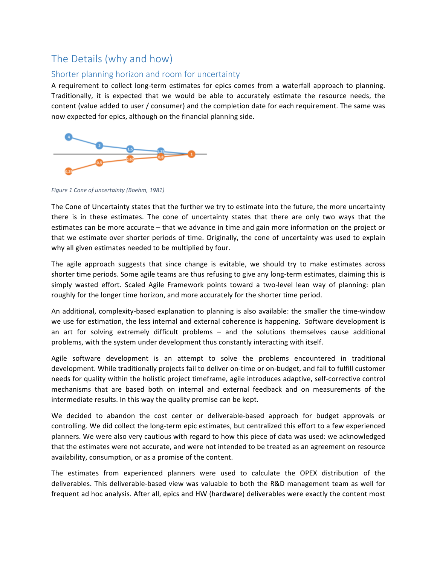# The Details (why and how)

#### Shorter planning horizon and room for uncertainty

A requirement to collect long-term estimates for epics comes from a waterfall approach to planning. Traditionally, it is expected that we would be able to accurately estimate the resource needs, the content (value added to user / consumer) and the completion date for each requirement. The same was now expected for epics, although on the financial planning side.



**Figure 1 Cone of uncertainty (Boehm, 1981)** 

The Cone of Uncertainty states that the further we try to estimate into the future, the more uncertainty there is in these estimates. The cone of uncertainty states that there are only two ways that the estimates can be more accurate – that we advance in time and gain more information on the project or that we estimate over shorter periods of time. Originally, the cone of uncertainty was used to explain why all given estimates needed to be multiplied by four.

The agile approach suggests that since change is evitable, we should try to make estimates across shorter time periods. Some agile teams are thus refusing to give any long-term estimates, claiming this is simply wasted effort. Scaled Agile Framework points toward a two-level lean way of planning: plan roughly for the longer time horizon, and more accurately for the shorter time period.

An additional, complexity-based explanation to planning is also available: the smaller the time-window we use for estimation, the less internal and external coherence is happening. Software development is an art for solving extremely difficult problems – and the solutions themselves cause additional problems, with the system under development thus constantly interacting with itself.

Agile software development is an attempt to solve the problems encountered in traditional development. While traditionally projects fail to deliver on-time or on-budget, and fail to fulfill customer needs for quality within the holistic project timeframe, agile introduces adaptive, self-corrective control mechanisms that are based both on internal and external feedback and on measurements of the intermediate results. In this way the quality promise can be kept.

We decided to abandon the cost center or deliverable-based approach for budget approvals or controlling. We did collect the long-term epic estimates, but centralized this effort to a few experienced planners. We were also very cautious with regard to how this piece of data was used: we acknowledged that the estimates were not accurate, and were not intended to be treated as an agreement on resource availability, consumption, or as a promise of the content.

The estimates from experienced planners were used to calculate the OPEX distribution of the deliverables. This deliverable-based view was valuable to both the R&D management team as well for frequent ad hoc analysis. After all, epics and HW (hardware) deliverables were exactly the content most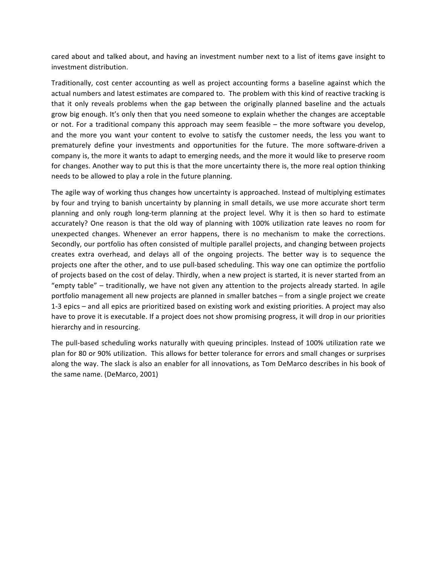cared about and talked about, and having an investment number next to a list of items gave insight to investment distribution.

Traditionally, cost center accounting as well as project accounting forms a baseline against which the actual numbers and latest estimates are compared to. The problem with this kind of reactive tracking is that it only reveals problems when the gap between the originally planned baseline and the actuals grow big enough. It's only then that you need someone to explain whether the changes are acceptable or not. For a traditional company this approach may seem feasible  $-$  the more software you develop, and the more you want your content to evolve to satisfy the customer needs, the less you want to prematurely define your investments and opportunities for the future. The more software-driven a company is, the more it wants to adapt to emerging needs, and the more it would like to preserve room for changes. Another way to put this is that the more uncertainty there is, the more real option thinking needs to be allowed to play a role in the future planning.

The agile way of working thus changes how uncertainty is approached. Instead of multiplying estimates by four and trying to banish uncertainty by planning in small details, we use more accurate short term planning and only rough long-term planning at the project level. Why it is then so hard to estimate accurately? One reason is that the old way of planning with 100% utilization rate leaves no room for unexpected changes. Whenever an error happens, there is no mechanism to make the corrections. Secondly, our portfolio has often consisted of multiple parallel projects, and changing between projects creates extra overhead, and delays all of the ongoing projects. The better way is to sequence the projects one after the other, and to use pull-based scheduling. This way one can optimize the portfolio of projects based on the cost of delay. Thirdly, when a new project is started, it is never started from an "empty table" – traditionally, we have not given any attention to the projects already started. In agile portfolio management all new projects are planned in smaller batches – from a single project we create 1-3 epics – and all epics are prioritized based on existing work and existing priorities. A project may also have to prove it is executable. If a project does not show promising progress, it will drop in our priorities hierarchy and in resourcing.

The pull-based scheduling works naturally with queuing principles. Instead of 100% utilization rate we plan for 80 or 90% utilization. This allows for better tolerance for errors and small changes or surprises along the way. The slack is also an enabler for all innovations, as Tom DeMarco describes in his book of the same name. (DeMarco, 2001)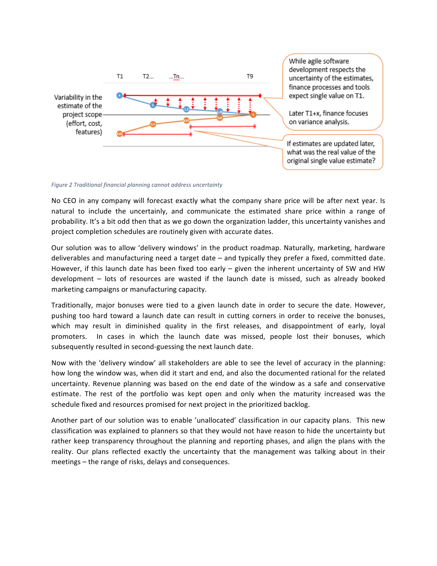

*Figure 2 Traditional financial planning cannot address uncertainty*

No CEO in any company will forecast exactly what the company share price will be after next year. Is natural to include the uncertainly, and communicate the estimated share price within a range of probability. It's a bit odd then that as we go down the organization ladder, this uncertainty vanishes and project completion schedules are routinely given with accurate dates.

Our solution was to allow 'delivery windows' in the product roadmap. Naturally, marketing, hardware deliverables and manufacturing need a target date – and typically they prefer a fixed, committed date. However, if this launch date has been fixed too early – given the inherent uncertainty of SW and HW development - lots of resources are wasted if the launch date is missed, such as already booked marketing campaigns or manufacturing capacity.

Traditionally, major bonuses were tied to a given launch date in order to secure the date. However, pushing too hard toward a launch date can result in cutting corners in order to receive the bonuses, which may result in diminished quality in the first releases, and disappointment of early, loyal promoters. In cases in which the launch date was missed, people lost their bonuses, which subsequently resulted in second-guessing the next launch date.

Now with the 'delivery window' all stakeholders are able to see the level of accuracy in the planning: how long the window was, when did it start and end, and also the documented rational for the related uncertainty. Revenue planning was based on the end date of the window as a safe and conservative estimate. The rest of the portfolio was kept open and only when the maturity increased was the schedule fixed and resources promised for next project in the prioritized backlog.

Another part of our solution was to enable 'unallocated' classification in our capacity plans. This new classification was explained to planners so that they would not have reason to hide the uncertainty but rather keep transparency throughout the planning and reporting phases, and align the plans with the reality. Our plans reflected exactly the uncertainty that the management was talking about in their meetings – the range of risks, delays and consequences.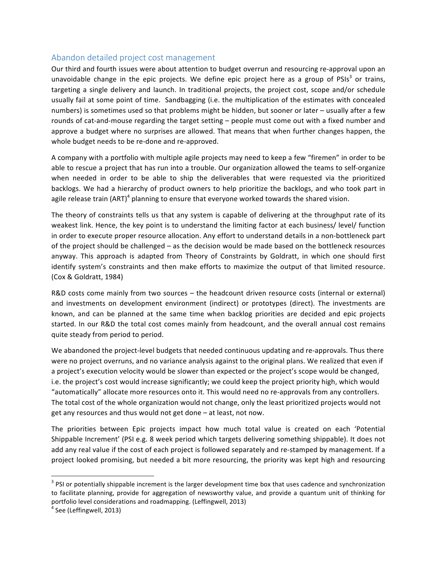#### Abandon detailed project cost management

Our third and fourth issues were about attention to budget overrun and resourcing re-approval upon an unavoidable change in the epic projects. We define epic project here as a group of  $PSIs<sup>3</sup>$  or trains, targeting a single delivery and launch. In traditional projects, the project cost, scope and/or schedule usually fail at some point of time. Sandbagging (i.e. the multiplication of the estimates with concealed numbers) is sometimes used so that problems might be hidden, but sooner or later – usually after a few rounds of cat-and-mouse regarding the target setting – people must come out with a fixed number and approve a budget where no surprises are allowed. That means that when further changes happen, the whole budget needs to be re-done and re-approved.

A company with a portfolio with multiple agile projects may need to keep a few "firemen" in order to be able to rescue a project that has run into a trouble. Our organization allowed the teams to self-organize when needed in order to be able to ship the deliverables that were requested via the prioritized backlogs. We had a hierarchy of product owners to help prioritize the backlogs, and who took part in agile release train (ART)<sup>4</sup> planning to ensure that everyone worked towards the shared vision.

The theory of constraints tells us that any system is capable of delivering at the throughput rate of its weakest link. Hence, the key point is to understand the limiting factor at each business/ level/ function in order to execute proper resource allocation. Any effort to understand details in a non-bottleneck part of the project should be challenged – as the decision would be made based on the bottleneck resources anyway. This approach is adapted from Theory of Constraints by Goldratt, in which one should first identify system's constraints and then make efforts to maximize the output of that limited resource. (Cox & Goldratt, 1984)

R&D costs come mainly from two sources – the headcount driven resource costs (internal or external) and investments on development environment (indirect) or prototypes (direct). The investments are known, and can be planned at the same time when backlog priorities are decided and epic projects started. In our R&D the total cost comes mainly from headcount, and the overall annual cost remains quite steady from period to period.

We abandoned the project-level budgets that needed continuous updating and re-approvals. Thus there were no project overruns, and no variance analysis against to the original plans. We realized that even if a project's execution velocity would be slower than expected or the project's scope would be changed, i.e. the project's cost would increase significantly; we could keep the project priority high, which would "automatically" allocate more resources onto it. This would need no re-approvals from any controllers. The total cost of the whole organization would not change, only the least prioritized projects would not get any resources and thus would not get done  $-$  at least, not now.

The priorities between Epic projects impact how much total value is created on each 'Potential Shippable Increment' (PSI e.g. 8 week period which targets delivering something shippable). It does not add any real value if the cost of each project is followed separately and re-stamped by management. If a project looked promising, but needed a bit more resourcing, the priority was kept high and resourcing

<u> 1989 - Johann Stein, markin film yn y breninn y breninn y breninn y breninn y breninn y breninn y breninn y b</u>

 $3$  PSI or potentially shippable increment is the larger development time box that uses cadence and synchronization to facilitate planning, provide for aggregation of newsworthy value, and provide a quantum unit of thinking for portfolio level considerations and roadmapping. (Leffingwell, 2013)<br><sup>4</sup> See (Leffingwell, 2013)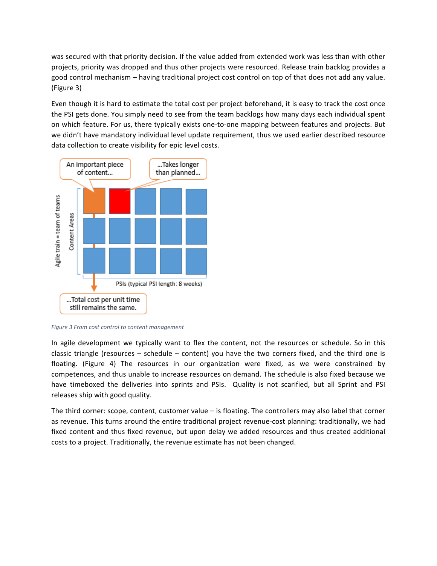was secured with that priority decision. If the value added from extended work was less than with other projects, priority was dropped and thus other projects were resourced. Release train backlog provides a good control mechanism – having traditional project cost control on top of that does not add any value. (Figure 3)

Even though it is hard to estimate the total cost per project beforehand, it is easy to track the cost once the PSI gets done. You simply need to see from the team backlogs how many days each individual spent on which feature. For us, there typically exists one-to-one mapping between features and projects. But we didn't have mandatory individual level update requirement, thus we used earlier described resource data collection to create visibility for epic level costs.



*Figure 3 From cost control to content management*

In agile development we typically want to flex the content, not the resources or schedule. So in this classic triangle (resources  $-$  schedule  $-$  content) you have the two corners fixed, and the third one is floating. (Figure 4) The resources in our organization were fixed, as we were constrained by competences, and thus unable to increase resources on demand. The schedule is also fixed because we have timeboxed the deliveries into sprints and PSIs. Quality is not scarified, but all Sprint and PSI releases ship with good quality.

The third corner: scope, content, customer value  $-$  is floating. The controllers may also label that corner as revenue. This turns around the entire traditional project revenue-cost planning: traditionally, we had fixed content and thus fixed revenue, but upon delay we added resources and thus created additional costs to a project. Traditionally, the revenue estimate has not been changed.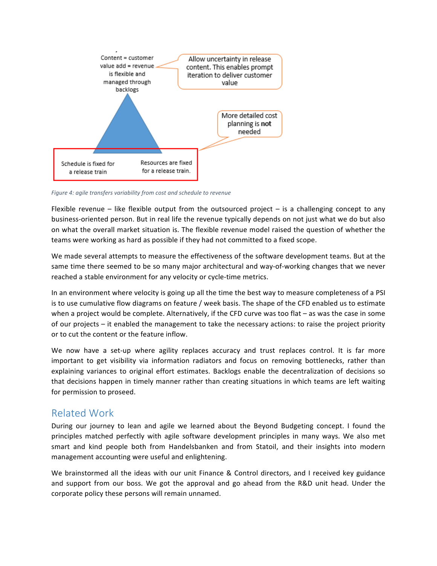

*Figure 4: agile transfers variability from cost and schedule to revenue*

Flexible revenue – like flexible output from the outsourced project – is a challenging concept to any business-oriented person. But in real life the revenue typically depends on not just what we do but also on what the overall market situation is. The flexible revenue model raised the question of whether the teams were working as hard as possible if they had not committed to a fixed scope.

We made several attempts to measure the effectiveness of the software development teams. But at the same time there seemed to be so many major architectural and way-of-working changes that we never reached a stable environment for any velocity or cycle-time metrics.

In an environment where velocity is going up all the time the best way to measure completeness of a PSI is to use cumulative flow diagrams on feature / week basis. The shape of the CFD enabled us to estimate when a project would be complete. Alternatively, if the CFD curve was too flat  $-$  as was the case in some of our projects – it enabled the management to take the necessary actions: to raise the project priority or to cut the content or the feature inflow.

We now have a set-up where agility replaces accuracy and trust replaces control. It is far more important to get visibility via information radiators and focus on removing bottlenecks, rather than explaining variances to original effort estimates. Backlogs enable the decentralization of decisions so that decisions happen in timely manner rather than creating situations in which teams are left waiting for permission to proseed.

### Related Work

During our journey to lean and agile we learned about the Beyond Budgeting concept. I found the principles matched perfectly with agile software development principles in many ways. We also met smart and kind people both from Handelsbanken and from Statoil, and their insights into modern management accounting were useful and enlightening.

We brainstormed all the ideas with our unit Finance & Control directors, and I received key guidance and support from our boss. We got the approval and go ahead from the R&D unit head. Under the corporate policy these persons will remain unnamed.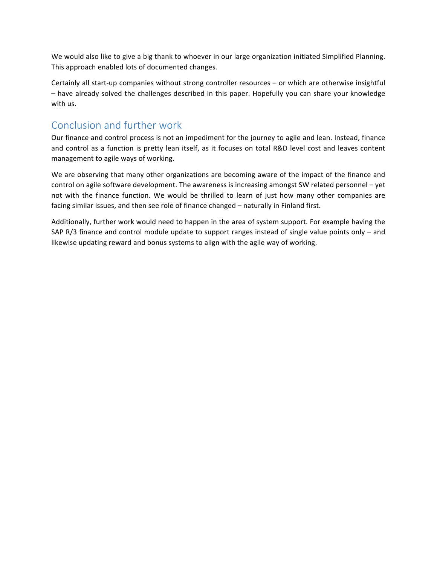We would also like to give a big thank to whoever in our large organization initiated Simplified Planning. This approach enabled lots of documented changes.

Certainly all start-up companies without strong controller resources  $-$  or which are otherwise insightful - have already solved the challenges described in this paper. Hopefully you can share your knowledge with us.

## Conclusion and further work

Our finance and control process is not an impediment for the journey to agile and lean. Instead, finance and control as a function is pretty lean itself, as it focuses on total R&D level cost and leaves content management to agile ways of working.

We are observing that many other organizations are becoming aware of the impact of the finance and control on agile software development. The awareness is increasing amongst SW related personnel - yet not with the finance function. We would be thrilled to learn of just how many other companies are facing similar issues, and then see role of finance changed – naturally in Finland first.

Additionally, further work would need to happen in the area of system support. For example having the SAP R/3 finance and control module update to support ranges instead of single value points only – and likewise updating reward and bonus systems to align with the agile way of working.